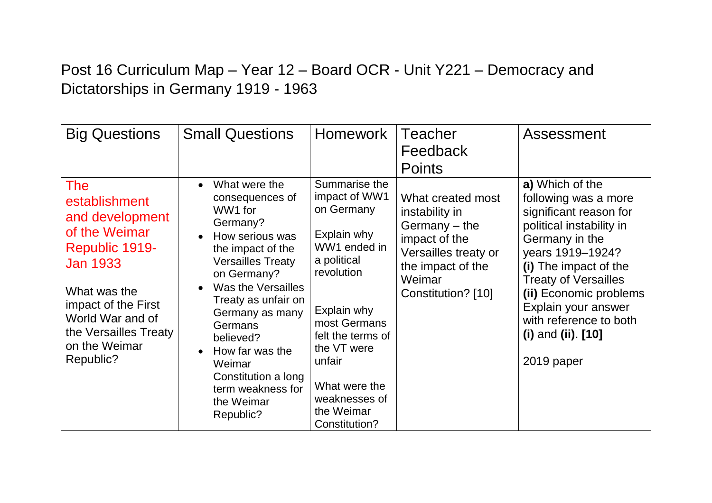## Post 16 Curriculum Map – Year 12 – Board OCR - Unit Y221 – Democracy and Dictatorships in Germany 1919 - 1963

| <b>Big Questions</b>                                                                                                                                                                                            | <b>Small Questions</b>                                                                                                                                                                                                                                                                                                                 | <b>Homework</b>                                                                                                                                                                                                                                        | Teacher<br>Feedback<br><b>Points</b>                                                                                                                 | Assessment                                                                                                                                                                                                                                                                                                   |
|-----------------------------------------------------------------------------------------------------------------------------------------------------------------------------------------------------------------|----------------------------------------------------------------------------------------------------------------------------------------------------------------------------------------------------------------------------------------------------------------------------------------------------------------------------------------|--------------------------------------------------------------------------------------------------------------------------------------------------------------------------------------------------------------------------------------------------------|------------------------------------------------------------------------------------------------------------------------------------------------------|--------------------------------------------------------------------------------------------------------------------------------------------------------------------------------------------------------------------------------------------------------------------------------------------------------------|
| The<br>establishment<br>and development<br>of the Weimar<br>Republic 1919-<br><b>Jan 1933</b><br>What was the<br>impact of the First<br>World War and of<br>the Versailles Treaty<br>on the Weimar<br>Republic? | What were the<br>consequences of<br>WW1 for<br>Germany?<br>How serious was<br>the impact of the<br><b>Versailles Treaty</b><br>on Germany?<br>Was the Versailles<br>Treaty as unfair on<br>Germany as many<br>Germans<br>believed?<br>How far was the<br>Weimar<br>Constitution a long<br>term weakness for<br>the Weimar<br>Republic? | Summarise the<br>impact of WW1<br>on Germany<br>Explain why<br>WW1 ended in<br>a political<br>revolution<br>Explain why<br>most Germans<br>felt the terms of<br>the VT were<br>unfair<br>What were the<br>weaknesses of<br>the Weimar<br>Constitution? | What created most<br>instability in<br>$Germany - the$<br>impact of the<br>Versailles treaty or<br>the impact of the<br>Weimar<br>Constitution? [10] | a) Which of the<br>following was a more<br>significant reason for<br>political instability in<br>Germany in the<br>years 1919-1924?<br>(i) The impact of the<br><b>Treaty of Versailles</b><br>(ii) Economic problems<br>Explain your answer<br>with reference to both<br>(i) and (ii). $[10]$<br>2019 paper |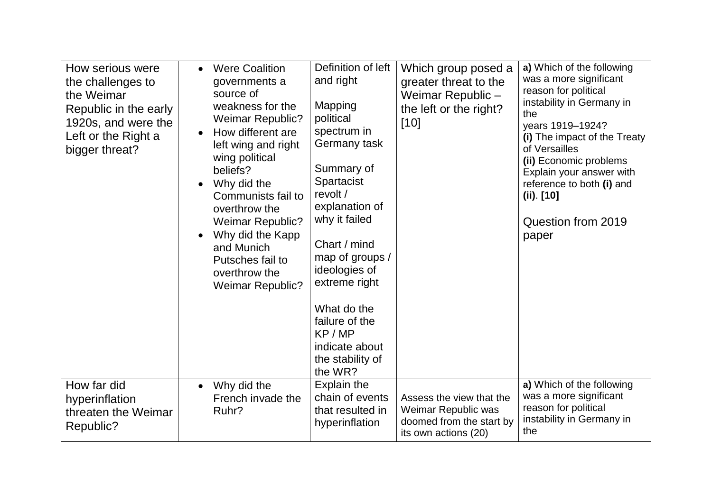| How serious were<br>the challenges to<br>the Weimar<br>Republic in the early<br>1920s, and were the<br>Left or the Right a<br>bigger threat? | <b>Were Coalition</b><br>governments a<br>source of<br>weakness for the<br><b>Weimar Republic?</b><br>How different are<br>left wing and right<br>wing political<br>beliefs?<br>Why did the<br>Communists fail to<br>overthrow the<br><b>Weimar Republic?</b><br>Why did the Kapp<br>and Munich<br>Putsches fail to<br>overthrow the<br><b>Weimar Republic?</b> | Definition of left<br>and right<br><b>Mapping</b><br>political<br>spectrum in<br>Germany task<br>Summary of<br><b>Spartacist</b><br>revolt /<br>explanation of<br>why it failed<br>Chart / mind<br>map of groups /<br>ideologies of<br>extreme right<br>What do the<br>failure of the<br>KP/MP<br>indicate about<br>the stability of<br>the WR? | Which group posed a<br>greater threat to the<br>Weimar Republic -<br>the left or the right?<br>[10] | a) Which of the following<br>was a more significant<br>reason for political<br>instability in Germany in<br>the<br>years 1919-1924?<br>(i) The impact of the Treaty<br>of Versailles<br>(ii) Economic problems<br>Explain your answer with<br>reference to both (i) and<br>$(ii)$ . [10]<br>Question from 2019<br>paper |
|----------------------------------------------------------------------------------------------------------------------------------------------|-----------------------------------------------------------------------------------------------------------------------------------------------------------------------------------------------------------------------------------------------------------------------------------------------------------------------------------------------------------------|-------------------------------------------------------------------------------------------------------------------------------------------------------------------------------------------------------------------------------------------------------------------------------------------------------------------------------------------------|-----------------------------------------------------------------------------------------------------|-------------------------------------------------------------------------------------------------------------------------------------------------------------------------------------------------------------------------------------------------------------------------------------------------------------------------|
| How far did<br>hyperinflation<br>threaten the Weimar<br>Republic?                                                                            | Why did the<br>$\bullet$<br>French invade the<br>Ruhr?                                                                                                                                                                                                                                                                                                          | Explain the<br>chain of events<br>that resulted in<br>hyperinflation                                                                                                                                                                                                                                                                            | Assess the view that the<br>Weimar Republic was<br>doomed from the start by<br>its own actions (20) | a) Which of the following<br>was a more significant<br>reason for political<br>instability in Germany in<br>the                                                                                                                                                                                                         |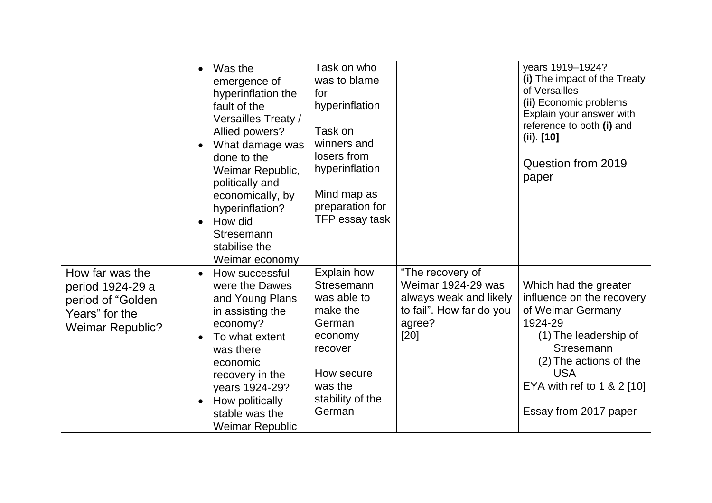|                                                                                                       | Was the<br>emergence of<br>hyperinflation the<br>fault of the<br>Versailles Treaty /<br>Allied powers?<br>What damage was<br>done to the<br>Weimar Republic,<br>politically and<br>economically, by<br>hyperinflation?<br>How did<br>$\bullet$<br>Stresemann<br>stabilise the<br>Weimar economy | Task on who<br>was to blame<br>for<br>hyperinflation<br>Task on<br>winners and<br>losers from<br>hyperinflation<br>Mind map as<br>preparation for<br>TFP essay task |                                                                                                                  | years 1919-1924?<br>(i) The impact of the Treaty<br>of Versailles<br>(ii) Economic problems<br>Explain your answer with<br>reference to both (i) and<br>(ii). [10]<br>Question from 2019<br>paper                        |
|-------------------------------------------------------------------------------------------------------|-------------------------------------------------------------------------------------------------------------------------------------------------------------------------------------------------------------------------------------------------------------------------------------------------|---------------------------------------------------------------------------------------------------------------------------------------------------------------------|------------------------------------------------------------------------------------------------------------------|--------------------------------------------------------------------------------------------------------------------------------------------------------------------------------------------------------------------------|
| How far was the<br>period 1924-29 a<br>period of "Golden<br>Years" for the<br><b>Weimar Republic?</b> | How successful<br>were the Dawes<br>and Young Plans<br>in assisting the<br>economy?<br>To what extent<br>was there<br>economic<br>recovery in the<br>years 1924-29?<br>How politically<br>$\bullet$<br>stable was the<br><b>Weimar Republic</b>                                                 | Explain how<br>Stresemann<br>was able to<br>make the<br>German<br>economy<br>recover<br>How secure<br>was the<br>stability of the<br>German                         | "The recovery of<br>Weimar 1924-29 was<br>always weak and likely<br>to fail". How far do you<br>agree?<br>$[20]$ | Which had the greater<br>influence on the recovery<br>of Weimar Germany<br>1924-29<br>(1) The leadership of<br>Stresemann<br>(2) The actions of the<br><b>USA</b><br>EYA with ref to 1 & 2 [10]<br>Essay from 2017 paper |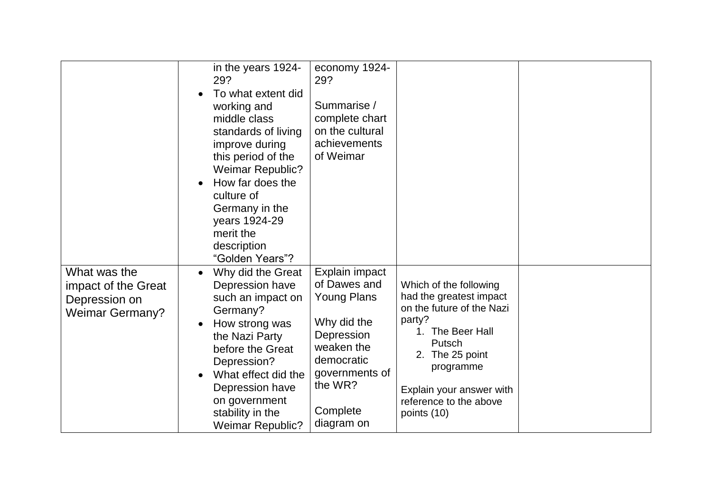|                                                                                | in the years 1924-<br>29?<br>To what extent did<br>working and<br>middle class<br>standards of living<br>improve during<br>this period of the<br><b>Weimar Republic?</b><br>How far does the<br>culture of<br>Germany in the<br>years 1924-29<br>merit the<br>description<br>"Golden Years"? | economy 1924-<br>29?<br>Summarise /<br>complete chart<br>on the cultural<br>achievements<br>of Weimar                                                                |                                                                                                                                                                                                                             |  |
|--------------------------------------------------------------------------------|----------------------------------------------------------------------------------------------------------------------------------------------------------------------------------------------------------------------------------------------------------------------------------------------|----------------------------------------------------------------------------------------------------------------------------------------------------------------------|-----------------------------------------------------------------------------------------------------------------------------------------------------------------------------------------------------------------------------|--|
| What was the<br>impact of the Great<br>Depression on<br><b>Weimar Germany?</b> | Why did the Great<br>Depression have<br>such an impact on<br>Germany?<br>How strong was<br>the Nazi Party<br>before the Great<br>Depression?<br>What effect did the<br>Depression have<br>on government<br>stability in the<br><b>Weimar Republic?</b>                                       | Explain impact<br>of Dawes and<br><b>Young Plans</b><br>Why did the<br>Depression<br>weaken the<br>democratic<br>governments of<br>the WR?<br>Complete<br>diagram on | Which of the following<br>had the greatest impact<br>on the future of the Nazi<br>party?<br>1. The Beer Hall<br>Putsch<br>2. The 25 point<br>programme<br>Explain your answer with<br>reference to the above<br>points (10) |  |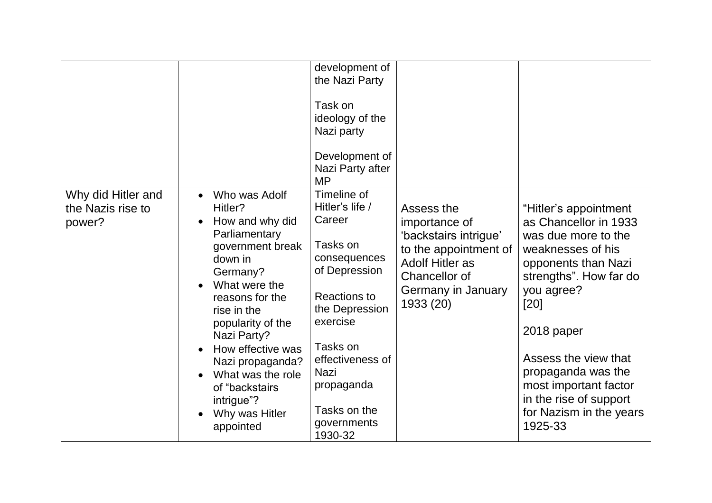|                                                   |                                                                                                                                                                                                                                                                                                                                                       | development of<br>the Nazi Party<br>Task on<br>ideology of the<br>Nazi party<br>Development of<br>Nazi Party after<br><b>MP</b>                                                                                                     |                                                                                                                                                             |                                                                                                                                                                                                                                                                                                                          |
|---------------------------------------------------|-------------------------------------------------------------------------------------------------------------------------------------------------------------------------------------------------------------------------------------------------------------------------------------------------------------------------------------------------------|-------------------------------------------------------------------------------------------------------------------------------------------------------------------------------------------------------------------------------------|-------------------------------------------------------------------------------------------------------------------------------------------------------------|--------------------------------------------------------------------------------------------------------------------------------------------------------------------------------------------------------------------------------------------------------------------------------------------------------------------------|
| Why did Hitler and<br>the Nazis rise to<br>power? | Who was Adolf<br>$\bullet$<br>Hitler?<br>How and why did<br>Parliamentary<br>government break<br>down in<br>Germany?<br>What were the<br>reasons for the<br>rise in the<br>popularity of the<br>Nazi Party?<br>How effective was<br>$\bullet$<br>Nazi propaganda?<br>What was the role<br>of "backstairs<br>intrigue"?<br>Why was Hitler<br>appointed | Timeline of<br>Hitler's life /<br>Career<br>Tasks on<br>consequences<br>of Depression<br>Reactions to<br>the Depression<br>exercise<br>Tasks on<br>effectiveness of<br>Nazi<br>propaganda<br>Tasks on the<br>governments<br>1930-32 | Assess the<br>importance of<br>'backstairs intrigue'<br>to the appointment of<br><b>Adolf Hitler as</b><br>Chancellor of<br>Germany in January<br>1933 (20) | "Hitler's appointment<br>as Chancellor in 1933<br>was due more to the<br>weaknesses of his<br>opponents than Nazi<br>strengths". How far do<br>you agree?<br>$[20]$<br>2018 paper<br>Assess the view that<br>propaganda was the<br>most important factor<br>in the rise of support<br>for Nazism in the years<br>1925-33 |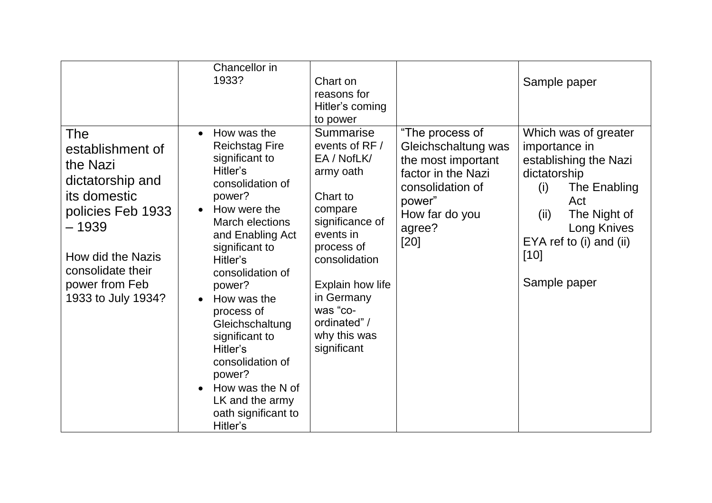|                                                                                                                                                                                           | Chancellor in<br>1933?                                                                                                                                                                                                                                                                                                                                                                                                              | Chart on<br>reasons for<br>Hitler's coming<br>to power                                                                                                                                                                                     |                                                                                                                                                        | Sample paper                                                                                                                                                                                             |
|-------------------------------------------------------------------------------------------------------------------------------------------------------------------------------------------|-------------------------------------------------------------------------------------------------------------------------------------------------------------------------------------------------------------------------------------------------------------------------------------------------------------------------------------------------------------------------------------------------------------------------------------|--------------------------------------------------------------------------------------------------------------------------------------------------------------------------------------------------------------------------------------------|--------------------------------------------------------------------------------------------------------------------------------------------------------|----------------------------------------------------------------------------------------------------------------------------------------------------------------------------------------------------------|
| The<br>establishment of<br>the Nazi<br>dictatorship and<br>its domestic<br>policies Feb 1933<br>$-1939$<br>How did the Nazis<br>consolidate their<br>power from Feb<br>1933 to July 1934? | How was the<br>$\bullet$<br><b>Reichstag Fire</b><br>significant to<br>Hitler's<br>consolidation of<br>power?<br>How were the<br>March elections<br>and Enabling Act<br>significant to<br>Hitler's<br>consolidation of<br>power?<br>How was the<br>process of<br>Gleichschaltung<br>significant to<br>Hitler's<br>consolidation of<br>power?<br>How was the N of<br>$\bullet$<br>LK and the army<br>oath significant to<br>Hitler's | Summarise<br>events of RF /<br>EA / NofLK/<br>army oath<br>Chart to<br>compare<br>significance of<br>events in<br>process of<br>consolidation<br>Explain how life<br>in Germany<br>was "co-<br>ordinated" /<br>why this was<br>significant | "The process of<br>Gleichschaltung was<br>the most important<br>factor in the Nazi<br>consolidation of<br>power"<br>How far do you<br>agree?<br>$[20]$ | Which was of greater<br>importance in<br>establishing the Nazi<br>dictatorship<br>(i)<br>The Enabling<br>Act<br>The Night of<br>(ii)<br>Long Knives<br>EYA ref to (i) and (ii)<br>$[10]$<br>Sample paper |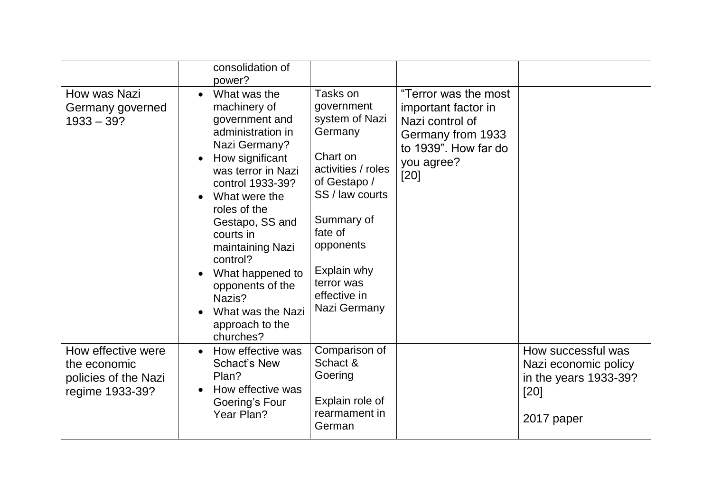|                                                                               | consolidation of<br>power?                                                                                                                                                                                                                                                                                                                                                          |                                                                                                                                                                                                                             |                                                                                                                                     |                                                                                           |
|-------------------------------------------------------------------------------|-------------------------------------------------------------------------------------------------------------------------------------------------------------------------------------------------------------------------------------------------------------------------------------------------------------------------------------------------------------------------------------|-----------------------------------------------------------------------------------------------------------------------------------------------------------------------------------------------------------------------------|-------------------------------------------------------------------------------------------------------------------------------------|-------------------------------------------------------------------------------------------|
| How was Nazi<br>Germany governed<br>$1933 - 39?$                              | What was the<br>$\bullet$<br>machinery of<br>government and<br>administration in<br>Nazi Germany?<br>How significant<br>$\bullet$<br>was terror in Nazi<br>control 1933-39?<br>What were the<br>roles of the<br>Gestapo, SS and<br>courts in<br>maintaining Nazi<br>control?<br>What happened to<br>opponents of the<br>Nazis?<br>What was the Nazi<br>approach to the<br>churches? | Tasks on<br>government<br>system of Nazi<br>Germany<br>Chart on<br>activities / roles<br>of Gestapo /<br>SS / law courts<br>Summary of<br>fate of<br>opponents<br>Explain why<br>terror was<br>effective in<br>Nazi Germany | "Terror was the most<br>important factor in<br>Nazi control of<br>Germany from 1933<br>to 1939". How far do<br>you agree?<br>$[20]$ |                                                                                           |
| How effective were<br>the economic<br>policies of the Nazi<br>regime 1933-39? | How effective was<br><b>Schact's New</b><br>Plan?<br>How effective was<br>Goering's Four<br>Year Plan?                                                                                                                                                                                                                                                                              | Comparison of<br>Schact &<br>Goering<br>Explain role of<br>rearmament in<br>German                                                                                                                                          |                                                                                                                                     | How successful was<br>Nazi economic policy<br>in the years 1933-39?<br>[20]<br>2017 paper |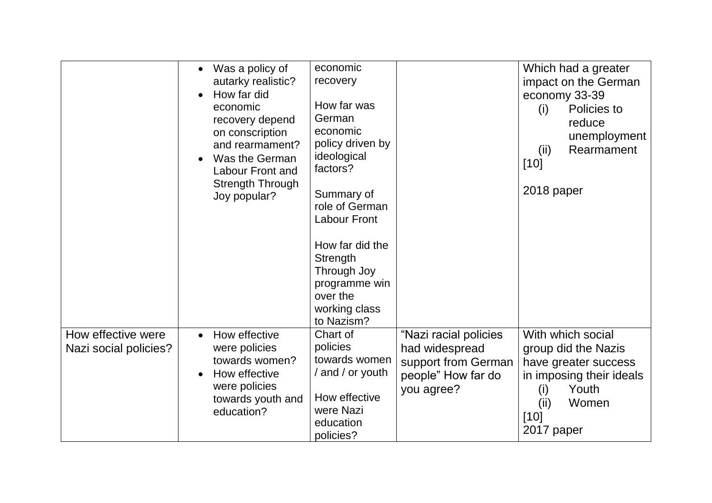|                                             | Was a policy of<br>$\bullet$<br>autarky realistic?<br>How far did<br>economic<br>recovery depend<br>on conscription<br>and rearmament?<br>Was the German<br>$\bullet$<br>Labour Front and | economic<br>recovery<br>How far was<br>German<br>economic<br>policy driven by<br>ideological<br>factors?                                                      |                                                                                                    | Which had a greater<br>impact on the German<br>economy 33-39<br>Policies to<br>(i)<br>reduce<br>unemployment<br>Rearmament<br>(ii)<br>$[10]$          |
|---------------------------------------------|-------------------------------------------------------------------------------------------------------------------------------------------------------------------------------------------|---------------------------------------------------------------------------------------------------------------------------------------------------------------|----------------------------------------------------------------------------------------------------|-------------------------------------------------------------------------------------------------------------------------------------------------------|
|                                             | <b>Strength Through</b><br>Joy popular?                                                                                                                                                   | Summary of<br>role of German<br><b>Labour Front</b><br>How far did the<br>Strength<br>Through Joy<br>programme win<br>over the<br>working class<br>to Nazism? |                                                                                                    | 2018 paper                                                                                                                                            |
| How effective were<br>Nazi social policies? | How effective<br>$\bullet$<br>were policies<br>towards women?<br>How effective<br>$\bullet$<br>were policies<br>towards youth and<br>education?                                           | Chart of<br>policies<br>towards women<br>/ and / or youth<br>How effective<br>were Nazi<br>education<br>policies?                                             | "Nazi racial policies<br>had widespread<br>support from German<br>people" How far do<br>you agree? | With which social<br>group did the Nazis<br>have greater success<br>in imposing their ideals<br>Youth<br>(i)<br>Women<br>(ii)<br>$[10]$<br>2017 paper |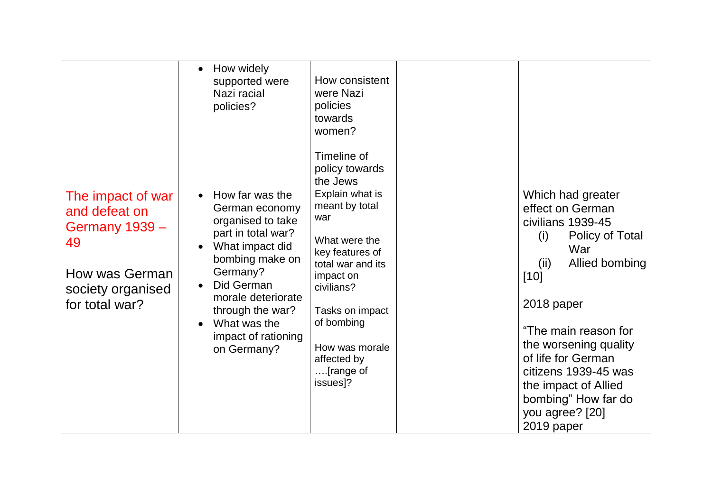|                                                                                                                            | How widely<br>$\bullet$<br>supported were<br>Nazi racial<br>policies?                                                                                                                                                                        | How consistent<br>were Nazi<br>policies<br>towards<br>women?<br>Timeline of<br>policy towards<br>the Jews                                                                                                                        |                                                                                                                                                                                                                                                                                                                              |
|----------------------------------------------------------------------------------------------------------------------------|----------------------------------------------------------------------------------------------------------------------------------------------------------------------------------------------------------------------------------------------|----------------------------------------------------------------------------------------------------------------------------------------------------------------------------------------------------------------------------------|------------------------------------------------------------------------------------------------------------------------------------------------------------------------------------------------------------------------------------------------------------------------------------------------------------------------------|
| The impact of war<br>and defeat on<br><b>Germany 1939 -</b><br>49<br>How was German<br>society organised<br>for total war? | How far was the<br>German economy<br>organised to take<br>part in total war?<br>What impact did<br>bombing make on<br>Germany?<br>Did German<br>morale deteriorate<br>through the war?<br>What was the<br>impact of rationing<br>on Germany? | Explain what is<br>meant by total<br>war<br>What were the<br>key features of<br>total war and its<br>impact on<br>civilians?<br>Tasks on impact<br>of bombing<br>How was morale<br>affected by<br>$\ldots$ [range of<br>issues]? | Which had greater<br>effect on German<br>civilians 1939-45<br>Policy of Total<br>(i)<br>War<br>Allied bombing<br>(ii)<br>$[10]$<br>2018 paper<br>"The main reason for<br>the worsening quality<br>of life for German<br>citizens 1939-45 was<br>the impact of Allied<br>bombing" How far do<br>you agree? [20]<br>2019 paper |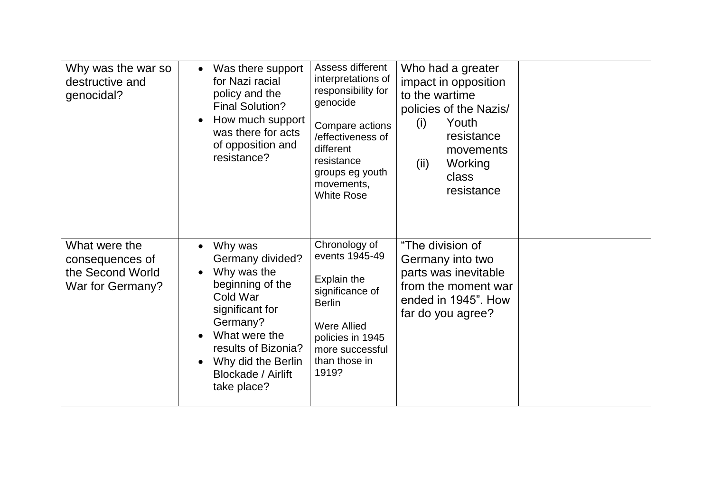| Why was the war so<br>destructive and<br>genocidal?                      | Was there support<br>for Nazi racial<br>policy and the<br><b>Final Solution?</b><br>How much support<br>was there for acts<br>of opposition and<br>resistance?                                                            | Assess different<br>interpretations of<br>responsibility for<br>genocide<br>Compare actions<br>/effectiveness of<br>different<br>resistance<br>groups eg youth<br>movements,<br><b>White Rose</b> | Who had a greater<br>impact in opposition<br>to the wartime<br>policies of the Nazis/<br>Youth<br>(i)<br>resistance<br>movements<br>Working<br>(ii)<br>class<br>resistance |  |
|--------------------------------------------------------------------------|---------------------------------------------------------------------------------------------------------------------------------------------------------------------------------------------------------------------------|---------------------------------------------------------------------------------------------------------------------------------------------------------------------------------------------------|----------------------------------------------------------------------------------------------------------------------------------------------------------------------------|--|
| What were the<br>consequences of<br>the Second World<br>War for Germany? | Why was<br>$\bullet$<br>Germany divided?<br>Why was the<br>beginning of the<br>Cold War<br>significant for<br>Germany?<br>What were the<br>results of Bizonia?<br>Why did the Berlin<br>Blockade / Airlift<br>take place? | Chronology of<br>events 1945-49<br>Explain the<br>significance of<br><b>Berlin</b><br><b>Were Allied</b><br>policies in 1945<br>more successful<br>than those in<br>1919?                         | "The division of<br>Germany into two<br>parts was inevitable<br>from the moment war<br>ended in 1945". How<br>far do you agree?                                            |  |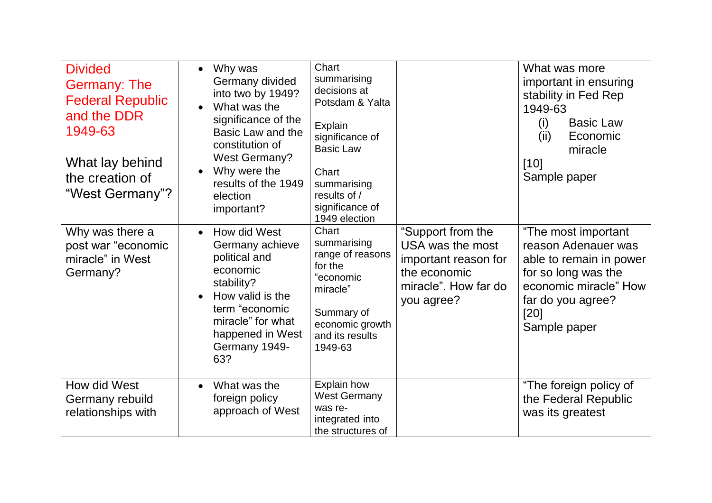| <b>Divided</b><br>Germany: The<br><b>Federal Republic</b><br>and the DDR<br>1949-63<br>What lay behind<br>the creation of<br>"West Germany"? | Why was<br>$\bullet$<br>Germany divided<br>into two by 1949?<br>What was the<br>significance of the<br>Basic Law and the<br>constitution of<br><b>West Germany?</b><br>Why were the<br>results of the 1949<br>election<br>important? | Chart<br>summarising<br>decisions at<br>Potsdam & Yalta<br>Explain<br>significance of<br><b>Basic Law</b><br>Chart<br>summarising<br>results of /<br>significance of<br>1949 election |                                                                                                                     | What was more<br>important in ensuring<br>stability in Fed Rep<br>1949-63<br><b>Basic Law</b><br>(i)<br>(ii)<br>Economic<br>miracle<br>$[10]$<br>Sample paper      |
|----------------------------------------------------------------------------------------------------------------------------------------------|--------------------------------------------------------------------------------------------------------------------------------------------------------------------------------------------------------------------------------------|---------------------------------------------------------------------------------------------------------------------------------------------------------------------------------------|---------------------------------------------------------------------------------------------------------------------|--------------------------------------------------------------------------------------------------------------------------------------------------------------------|
| Why was there a<br>post war "economic<br>miracle" in West<br>Germany?                                                                        | How did West<br>Germany achieve<br>political and<br>economic<br>stability?<br>How valid is the<br>term "economic<br>miracle" for what<br>happened in West<br>Germany 1949-<br>63?                                                    | Chart<br>summarising<br>range of reasons<br>for the<br>"economic<br>miracle"<br>Summary of<br>economic growth<br>and its results<br>1949-63                                           | "Support from the<br>USA was the most<br>important reason for<br>the economic<br>miracle". How far do<br>you agree? | "The most important<br>reason Adenauer was<br>able to remain in power<br>for so long was the<br>economic miracle" How<br>far do you agree?<br>[20]<br>Sample paper |
| How did West<br>Germany rebuild<br>relationships with                                                                                        | What was the<br>$\bullet$<br>foreign policy<br>approach of West                                                                                                                                                                      | Explain how<br><b>West Germany</b><br>was re-<br>integrated into<br>the structures of                                                                                                 |                                                                                                                     | "The foreign policy of<br>the Federal Republic<br>was its greatest                                                                                                 |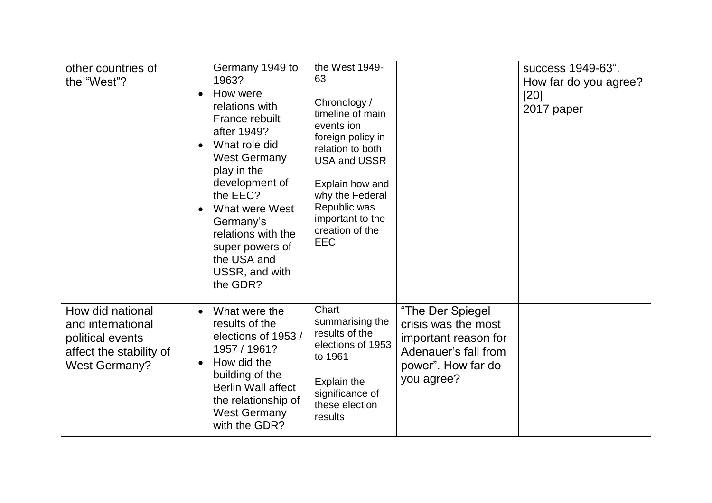| other countries of<br>the "West"?                                                                            | Germany 1949 to<br>1963?<br>How were<br>relations with<br>France rebuilt<br>after 1949?<br>What role did<br><b>West Germany</b><br>play in the<br>development of<br>the EEC?<br>What were West<br>Germany's<br>relations with the<br>super powers of<br>the USA and<br>USSR, and with<br>the GDR? | the West 1949-<br>63<br>Chronology /<br>timeline of main<br>events ion<br>foreign policy in<br>relation to both<br><b>USA and USSR</b><br>Explain how and<br>why the Federal<br>Republic was<br>important to the<br>creation of the<br><b>EEC</b> |                                                                                                                             | success 1949-63".<br>How far do you agree?<br>$[20]$<br>2017 paper |
|--------------------------------------------------------------------------------------------------------------|---------------------------------------------------------------------------------------------------------------------------------------------------------------------------------------------------------------------------------------------------------------------------------------------------|---------------------------------------------------------------------------------------------------------------------------------------------------------------------------------------------------------------------------------------------------|-----------------------------------------------------------------------------------------------------------------------------|--------------------------------------------------------------------|
| How did national<br>and international<br>political events<br>affect the stability of<br><b>West Germany?</b> | What were the<br>$\bullet$<br>results of the<br>elections of 1953 /<br>1957 / 1961?<br>How did the<br>$\bullet$<br>building of the<br><b>Berlin Wall affect</b><br>the relationship of<br><b>West Germany</b><br>with the GDR?                                                                    | Chart<br>summarising the<br>results of the<br>elections of 1953<br>to 1961<br>Explain the<br>significance of<br>these election<br>results                                                                                                         | "The Der Spiegel<br>crisis was the most<br>important reason for<br>Adenauer's fall from<br>power". How far do<br>you agree? |                                                                    |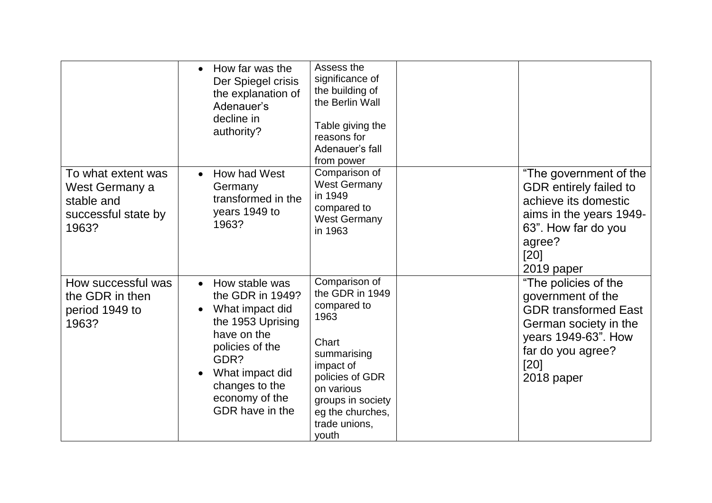|                                                                                    | How far was the<br>$\bullet$<br>Der Spiegel crisis<br>the explanation of<br>Adenauer's<br>decline in<br>authority?                                                                                          | Assess the<br>significance of<br>the building of<br>the Berlin Wall<br>Table giving the<br>reasons for<br>Adenauer's fall<br>from power                                                          |                                                                                                                                                                       |
|------------------------------------------------------------------------------------|-------------------------------------------------------------------------------------------------------------------------------------------------------------------------------------------------------------|--------------------------------------------------------------------------------------------------------------------------------------------------------------------------------------------------|-----------------------------------------------------------------------------------------------------------------------------------------------------------------------|
| To what extent was<br>West Germany a<br>stable and<br>successful state by<br>1963? | How had West<br>$\bullet$<br>Germany<br>transformed in the<br>years 1949 to<br>1963?                                                                                                                        | Comparison of<br><b>West Germany</b><br>in 1949<br>compared to<br><b>West Germany</b><br>in 1963                                                                                                 | "The government of the<br><b>GDR</b> entirely failed to<br>achieve its domestic<br>aims in the years 1949-<br>63". How far do you<br>agree?<br>$[20]$<br>2019 paper   |
| How successful was<br>the GDR in then<br>period 1949 to<br>1963?                   | How stable was<br>$\bullet$<br>the GDR in 1949?<br>What impact did<br>the 1953 Uprising<br>have on the<br>policies of the<br>GDR?<br>What impact did<br>changes to the<br>economy of the<br>GDR have in the | Comparison of<br>the GDR in 1949<br>compared to<br>1963<br>Chart<br>summarising<br>impact of<br>policies of GDR<br>on various<br>groups in society<br>eg the churches,<br>trade unions,<br>vouth | "The policies of the<br>government of the<br><b>GDR transformed East</b><br>German society in the<br>years 1949-63". How<br>far do you agree?<br>$[20]$<br>2018 paper |